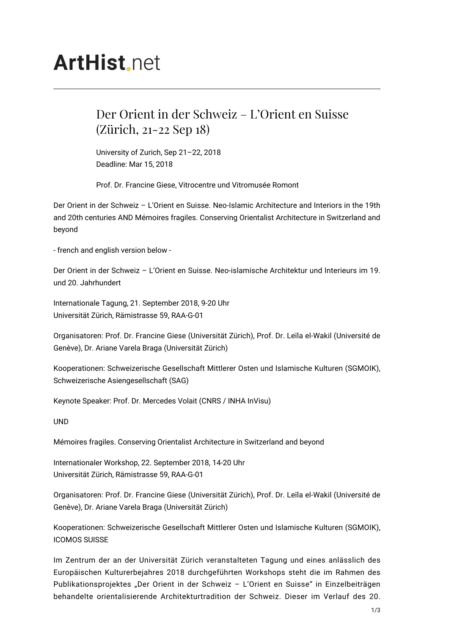# **ArtHist** net

## Der Orient in der Schweiz – L'Orient en Suisse (Zürich, 21-22 Sep 18)

University of Zurich, Sep 21–22, 2018 Deadline: Mar 15, 2018

Prof. Dr. Francine Giese, Vitrocentre und Vitromusée Romont

Der Orient in der Schweiz – L'Orient en Suisse. Neo-Islamic Architecture and Interiors in the 19th and 20th centuries AND Mémoires fragiles. Conserving Orientalist Architecture in Switzerland and beyond

- french and english version below -

Der Orient in der Schweiz – L'Orient en Suisse. Neo-islamische Architektur und Interieurs im 19. und 20. Jahrhundert

Internationale Tagung, 21. September 2018, 9-20 Uhr Universität Zürich, Rämistrasse 59, RAA-G-01

Organisatoren: Prof. Dr. Francine Giese (Universität Zürich), Prof. Dr. Leïla el-Wakil (Université de Genève), Dr. Ariane Varela Braga (Universität Zürich)

Kooperationen: Schweizerische Gesellschaft Mittlerer Osten und Islamische Kulturen (SGMOIK), Schweizerische Asiengesellschaft (SAG)

Keynote Speaker: Prof. Dr. Mercedes Volait (CNRS / INHA InVisu)

UND

Mémoires fragiles. Conserving Orientalist Architecture in Switzerland and beyond

Internationaler Workshop, 22. September 2018, 14-20 Uhr Universität Zürich, Rämistrasse 59, RAA-G-01

Organisatoren: Prof. Dr. Francine Giese (Universität Zürich), Prof. Dr. Leïla el-Wakil (Université de Genève), Dr. Ariane Varela Braga (Universität Zürich)

Kooperationen: Schweizerische Gesellschaft Mittlerer Osten und Islamische Kulturen (SGMOIK), ICOMOS SUISSE

Im Zentrum der an der Universität Zürich veranstalteten Tagung und eines anlässlich des Europäischen Kulturerbejahres 2018 durchgeführten Workshops steht die im Rahmen des Publikationsprojektes "Der Orient in der Schweiz - L'Orient en Suisse" in Einzelbeiträgen behandelte orientalisierende Architekturtradition der Schweiz. Dieser im Verlauf des 20.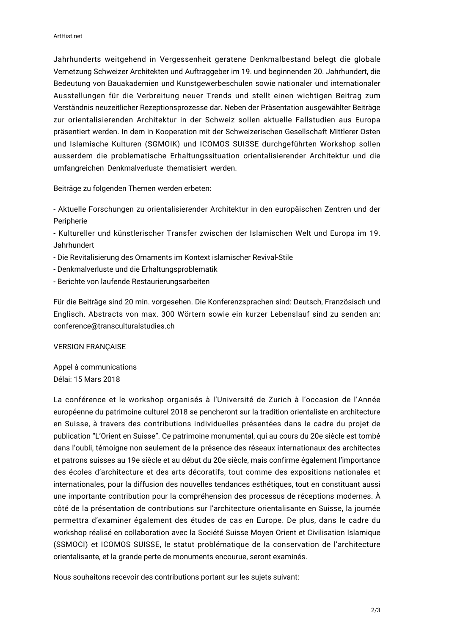Jahrhunderts weitgehend in Vergessenheit geratene Denkmalbestand belegt die globale Vernetzung Schweizer Architekten und Auftraggeber im 19. und beginnenden 20. Jahrhundert, die Bedeutung von Bauakademien und Kunstgewerbeschulen sowie nationaler und internationaler Ausstellungen für die Verbreitung neuer Trends und stellt einen wichtigen Beitrag zum Verständnis neuzeitlicher Rezeptionsprozesse dar. Neben der Präsentation ausgewählter Beiträge zur orientalisierenden Architektur in der Schweiz sollen aktuelle Fallstudien aus Europa präsentiert werden. In dem in Kooperation mit der Schweizerischen Gesellschaft Mittlerer Osten und Islamische Kulturen (SGMOIK) und ICOMOS SUISSE durchgeführten Workshop sollen ausserdem die problematische Erhaltungssituation orientalisierender Architektur und die umfangreichen Denkmalverluste thematisiert werden.

Beiträge zu folgenden Themen werden erbeten:

- Aktuelle Forschungen zu orientalisierender Architektur in den europäischen Zentren und der Peripherie

- Kultureller und künstlerischer Transfer zwischen der Islamischen Welt und Europa im 19. Jahrhundert

- Die Revitalisierung des Ornaments im Kontext islamischer Revival-Stile
- Denkmalverluste und die Erhaltungsproblematik
- Berichte von laufende Restaurierungsarbeiten

Für die Beiträge sind 20 min. vorgesehen. Die Konferenzsprachen sind: Deutsch, Französisch und Englisch. Abstracts von max. 300 Wörtern sowie ein kurzer Lebenslauf sind zu senden an: conference@transculturalstudies.ch

VERSION FRANÇAISE

Appel à communications Délai: 15 Mars 2018

La conférence et le workshop organisés à l'Université de Zurich à l'occasion de l'Année européenne du patrimoine culturel 2018 se pencheront sur la tradition orientaliste en architecture en Suisse, à travers des contributions individuelles présentées dans le cadre du projet de publication "L'Orient en Suisse". Ce patrimoine monumental, qui au cours du 20e siècle est tombé dans l'oubli, témoigne non seulement de la présence des réseaux internationaux des architectes et patrons suisses au 19e siècle et au début du 20e siècle, mais confirme également l'importance des écoles d'architecture et des arts décoratifs, tout comme des expositions nationales et internationales, pour la diffusion des nouvelles tendances esthétiques, tout en constituant aussi une importante contribution pour la compréhension des processus de réceptions modernes. À côté de la présentation de contributions sur l'architecture orientalisante en Suisse, la journée permettra d'examiner également des études de cas en Europe. De plus, dans le cadre du workshop réalisé en collaboration avec la Société Suisse Moyen Orient et Civilisation Islamique (SSMOCI) et ICOMOS SUISSE, le statut problématique de la conservation de l'architecture orientalisante, et la grande perte de monuments encourue, seront examinés.

Nous souhaitons recevoir des contributions portant sur les sujets suivant: